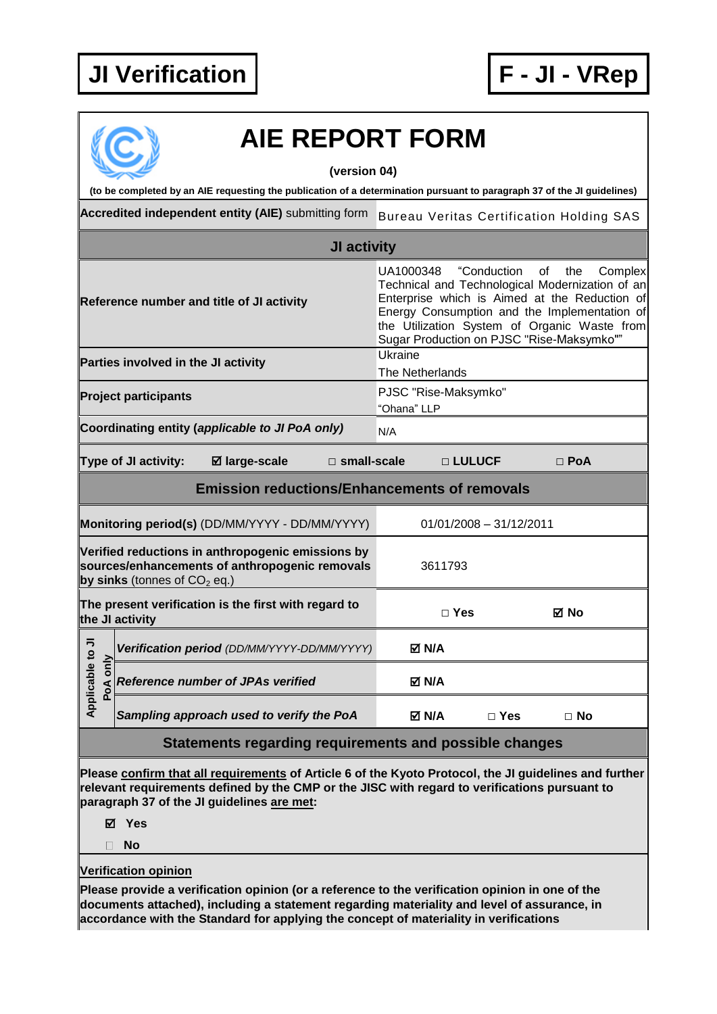

## **AIE REPORT FORM (version 04) (to be completed by an AIE requesting the publication of a determination pursuant to paragraph 37 of the JI guidelines) Accredited independent entity (AIE)** submitting form Bureau Veritas Certification Holding SAS **JI activity** UA1000348 "Conduction of the Complex Technical and Technological Modernization of an Enterprise which is Aimed at the Reduction of **Reference number and title of JI activity** Energy Consumption and the Implementation of the Utilization System of Organic Waste from Sugar Production on PJSC "Rise-Maksymko"" **Parties involved in the JI activity Example 20** Ukraine The Netherlands **Project participants PJSC "Rise-Maksymko"** "Ohana" LLP **Coordinating entity (applicable to JI PoA only)** N/A **Type of JI activity: large-scale □ small-scale □ LULUCF □ PoA Emission reductions/Enhancements of removals Monitoring period(s)** (DD/MM/YYYY - DD/MM/YYYY) 01/01/2008 – 31/12/2011 **Verified reductions in anthropogenic emissions by sources/enhancements of anthropogenic removals**  3611793 **by sinks** (tonnes of  $CO<sub>2</sub>$  eq.) **The present verification is the first with regard to the JI activity □ Yes No** Applicable to JI **Applicable to JI Positivation period** *(DD/MM/YYYY-DD/MM/YYYY)* **M/A**<br> **Poperiod Reference number of JPAs verified N/A**<br> **N/A Reference number of JPAs verified** *Sampling approach used to verify the PoA* **N/A □ Yes □ No Statements regarding requirements and possible changes Please confirm that all requirements of Article 6 of the Kyoto Protocol, the JI guidelines and further relevant requirements defined by the CMP or the JISC with regard to verifications pursuant to**

**paragraph 37 of the JI guidelines are met:**

**Yes**

**No**

## **Verification opinion**

**Please provide a verification opinion (or a reference to the verification opinion in one of the documents attached), including a statement regarding materiality and level of assurance, in accordance with the Standard for applying the concept of materiality in verifications**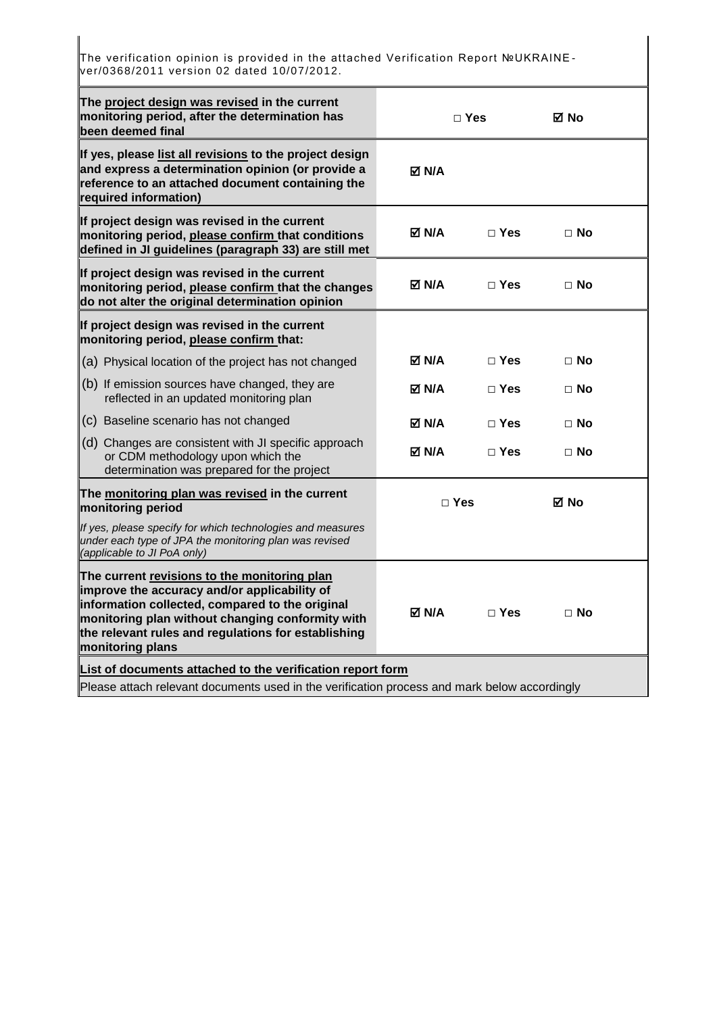The verification opinion is provided in the attached Verification Report №UKRAINE ver/0368/2011 version 02 dated 10/07/2012.

| □ Yes                                                 |                                                                                                                  | ⊠ No      |                                                                                              |
|-------------------------------------------------------|------------------------------------------------------------------------------------------------------------------|-----------|----------------------------------------------------------------------------------------------|
| <b>⊠ N/A</b>                                          |                                                                                                                  |           |                                                                                              |
| M ND                                                  | $\Box$ Yes                                                                                                       | $\Box$ No |                                                                                              |
| <b>⊠ N/A</b>                                          | $\Box$ Yes                                                                                                       | $\Box$ No |                                                                                              |
|                                                       |                                                                                                                  |           |                                                                                              |
| M ND                                                  | $\Box$ Yes                                                                                                       | $\Box$ No |                                                                                              |
| M N/A                                                 | $\Box$ Yes                                                                                                       | $\Box$ No |                                                                                              |
| M N/A                                                 | $\Box$ Yes                                                                                                       | $\Box$ No |                                                                                              |
| M N/A                                                 | $\Box$ Yes                                                                                                       | $\Box$ No |                                                                                              |
| $\Box$ Yes<br>⊠ No                                    |                                                                                                                  |           |                                                                                              |
|                                                       |                                                                                                                  |           |                                                                                              |
| M N/A                                                 | $\sqcap$ Yes                                                                                                     | $\Box$ No |                                                                                              |
|                                                       |                                                                                                                  |           |                                                                                              |
| defined in JI guidelines (paragraph 33) are still met | monitoring period, please confirm that the changes<br>List of documents attached to the verification report form |           | Please attach relevant documents used in the verification process and mark below accordingly |